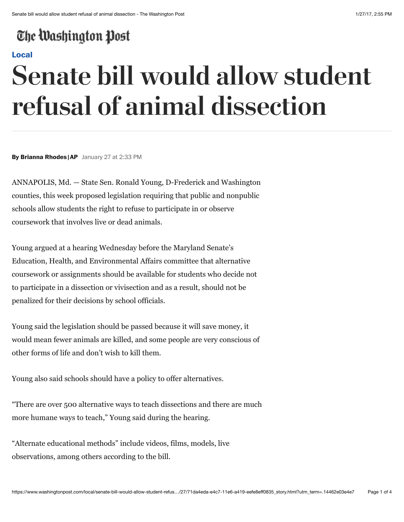## The Washington Post

#### **[Local](https://www.washingtonpost.com/local)**

# **Senate bill would allow student refusal of animal dissection**

**By Brianna Rhodes |AP** January 27 at 2:33 PM

ANNAPOLIS, Md. — State Sen. Ronald Young, D-Frederick and Washington counties, this week proposed legislation requiring that public and nonpublic schools allow students the right to refuse to participate in or observe coursework that involves live or dead animals.

Young argued at a hearing Wednesday before the Maryland Senate's Education, Health, and Environmental Affairs committee that alternative coursework or assignments should be available for students who decide not to participate in a dissection or vivisection and as a result, should not be penalized for their decisions by school officials.

Young said the legislation should be passed because it will save money, it would mean fewer animals are killed, and some people are very conscious of other forms of life and don't wish to kill them.

Young also said schools should have a policy to offer alternatives.

"There are over 500 alternative ways to teach dissections and there are much more humane ways to teach," Young said during the hearing.

"Alternate educational methods" include videos, films, models, live observations, among others according to the bill.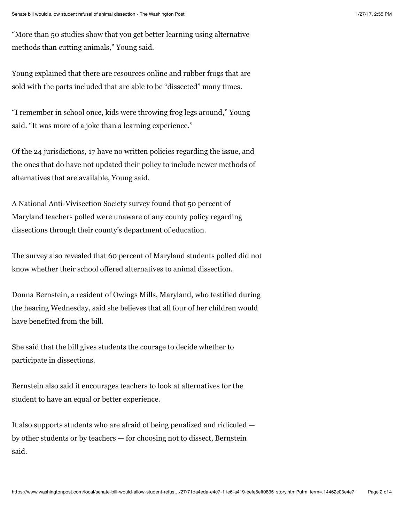"More than 50 studies show that you get better learning using alternative methods than cutting animals," Young said.

Young explained that there are resources online and rubber frogs that are sold with the parts included that are able to be "dissected" many times.

"I remember in school once, kids were throwing frog legs around," Young said. "It was more of a joke than a learning experience."

Of the 24 jurisdictions, 17 have no written policies regarding the issue, and the ones that do have not updated their policy to include newer methods of alternatives that are available, Young said.

A National Anti-Vivisection Society survey found that 50 percent of Maryland teachers polled were unaware of any county policy regarding dissections through their county's department of education.

The survey also revealed that 60 percent of Maryland students polled did not know whether their school offered alternatives to animal dissection.

Donna Bernstein, a resident of Owings Mills, Maryland, who testified during the hearing Wednesday, said she believes that all four of her children would have benefited from the bill.

She said that the bill gives students the courage to decide whether to participate in dissections.

Bernstein also said it encourages teachers to look at alternatives for the student to have an equal or better experience.

It also supports students who are afraid of being penalized and ridiculed by other students or by teachers — for choosing not to dissect, Bernstein said.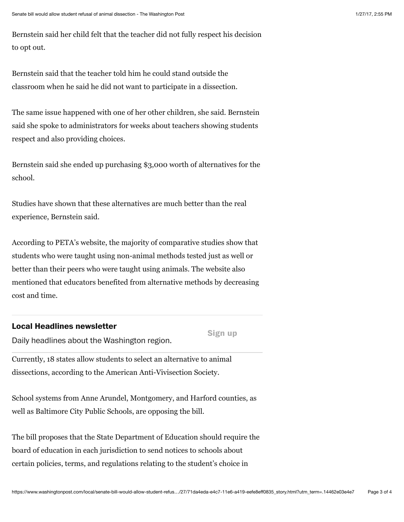Bernstein said her child felt that the teacher did not fully respect his decision to opt out.

Bernstein said that the teacher told him he could stand outside the classroom when he said he did not want to participate in a dissection.

The same issue happened with one of her other children, she said. Bernstein said she spoke to administrators for weeks about teachers showing students respect and also providing choices.

Bernstein said she ended up purchasing \$3,000 worth of alternatives for the school.

Studies have shown that these alternatives are much better than the real experience, Bernstein said.

According to PETA's website, the majority of comparative studies show that students who were taught using non-animal methods tested just as well or better than their peers who were taught using animals. The website also mentioned that educators benefited from alternative methods by decreasing cost and time.

### **Local Headlines newsletter**

**Sign up**

Daily headlines about the Washington region.

Currently, 18 states allow students to select an alternative to animal dissections, according to the American Anti-Vivisection Society.

School systems from Anne Arundel, Montgomery, and Harford counties, as well as Baltimore City Public Schools, are opposing the bill.

The bill proposes that the State Department of Education should require the board of education in each jurisdiction to send notices to schools about certain policies, terms, and regulations relating to the student's choice in